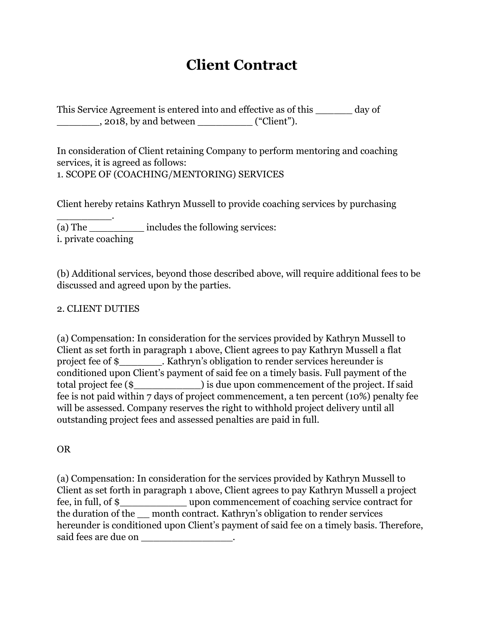# **Client Contract**

This Service Agreement is entered into and effective as of this \_\_\_\_\_\_ day of \_\_\_\_\_\_\_, 2018, by and between \_\_\_\_\_\_\_\_\_ ("Client").

In consideration of Client retaining Company to perform mentoring and coaching services, it is agreed as follows: 1. SCOPE OF (COACHING/MENTORING) SERVICES

Client hereby retains Kathryn Mussell to provide coaching services by purchasing

\_\_\_\_\_\_\_\_\_. (a) The \_\_\_\_\_\_\_\_\_ includes the following services: i. private coaching

(b) Additional services, beyond those described above, will require additional fees to be discussed and agreed upon by the parties.

#### 2. CLIENT DUTIES

(a) Compensation: In consideration for the services provided by Kathryn Mussell to Client as set forth in paragraph 1 above, Client agrees to pay Kathryn Mussell a flat project fee of \$\_\_\_\_\_\_\_. Kathryn's obligation to render services hereunder is conditioned upon Client's payment of said fee on a timely basis. Full payment of the total project fee (\$) is due upon commencement of the project. If said fee is not paid within 7 days of project commencement, a ten percent (10%) penalty fee will be assessed. Company reserves the right to withhold project delivery until all outstanding project fees and assessed penalties are paid in full.

OR

(a) Compensation: In consideration for the services provided by Kathryn Mussell to Client as set forth in paragraph 1 above, Client agrees to pay Kathryn Mussell a project fee, in full, of \$\_\_\_\_\_\_\_\_\_\_\_ upon commencement of coaching service contract for the duration of the \_\_ month contract. Kathryn's obligation to render services hereunder is conditioned upon Client's payment of said fee on a timely basis. Therefore, said fees are due on \_\_\_\_\_\_\_\_\_\_\_\_\_\_\_\_\_\_.